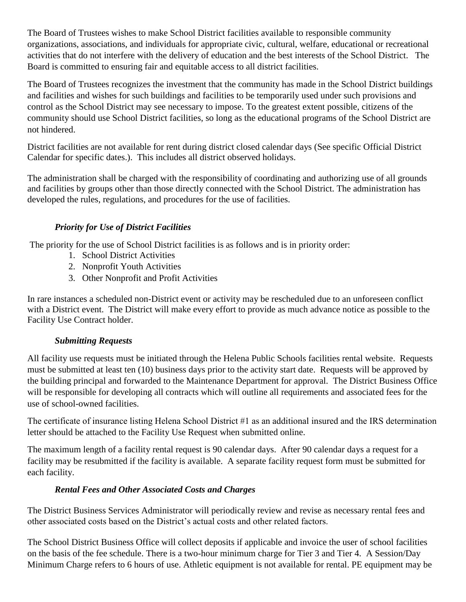The Board of Trustees wishes to make School District facilities available to responsible community organizations, associations, and individuals for appropriate civic, cultural, welfare, educational or recreational activities that do not interfere with the delivery of education and the best interests of the School District. The Board is committed to ensuring fair and equitable access to all district facilities.

The Board of Trustees recognizes the investment that the community has made in the School District buildings and facilities and wishes for such buildings and facilities to be temporarily used under such provisions and control as the School District may see necessary to impose. To the greatest extent possible, citizens of the community should use School District facilities, so long as the educational programs of the School District are not hindered.

District facilities are not available for rent during district closed calendar days (See specific Official District Calendar for specific dates.). This includes all district observed holidays.

The administration shall be charged with the responsibility of coordinating and authorizing use of all grounds and facilities by groups other than those directly connected with the School District. The administration has developed the rules, regulations, and procedures for the use of facilities.

# *Priority for Use of District Facilities*

The priority for the use of School District facilities is as follows and is in priority order:

- 1. School District Activities
- 2. Nonprofit Youth Activities
- 3. Other Nonprofit and Profit Activities

In rare instances a scheduled non-District event or activity may be rescheduled due to an unforeseen conflict with a District event. The District will make every effort to provide as much advance notice as possible to the Facility Use Contract holder.

## *Submitting Requests*

All facility use requests must be initiated through the Helena Public Schools facilities rental website. Requests must be submitted at least ten (10) business days prior to the activity start date. Requests will be approved by the building principal and forwarded to the Maintenance Department for approval. The District Business Office will be responsible for developing all contracts which will outline all requirements and associated fees for the use of school-owned facilities.

The certificate of insurance listing Helena School District #1 as an additional insured and the IRS determination letter should be attached to the Facility Use Request when submitted online.

The maximum length of a facility rental request is 90 calendar days. After 90 calendar days a request for a facility may be resubmitted if the facility is available. A separate facility request form must be submitted for each facility.

## *Rental Fees and Other Associated Costs and Charges*

The District Business Services Administrator will periodically review and revise as necessary rental fees and other associated costs based on the District's actual costs and other related factors.

The School District Business Office will collect deposits if applicable and invoice the user of school facilities on the basis of the fee schedule. There is a two-hour minimum charge for Tier 3 and Tier 4. A Session/Day Minimum Charge refers to 6 hours of use. Athletic equipment is not available for rental. PE equipment may be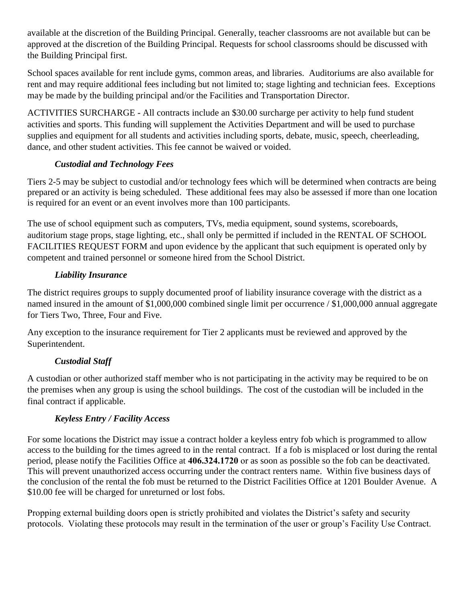available at the discretion of the Building Principal. Generally, teacher classrooms are not available but can be approved at the discretion of the Building Principal. Requests for school classrooms should be discussed with the Building Principal first.

School spaces available for rent include gyms, common areas, and libraries. Auditoriums are also available for rent and may require additional fees including but not limited to; stage lighting and technician fees. Exceptions may be made by the building principal and/or the Facilities and Transportation Director.

ACTIVITIES SURCHARGE - All contracts include an \$30.00 surcharge per activity to help fund student activities and sports. This funding will supplement the Activities Department and will be used to purchase supplies and equipment for all students and activities including sports, debate, music, speech, cheerleading, dance, and other student activities. This fee cannot be waived or voided.

## *Custodial and Technology Fees*

Tiers 2-5 may be subject to custodial and/or technology fees which will be determined when contracts are being prepared or an activity is being scheduled. These additional fees may also be assessed if more than one location is required for an event or an event involves more than 100 participants.

The use of school equipment such as computers, TVs, media equipment, sound systems, scoreboards, auditorium stage props, stage lighting, etc., shall only be permitted if included in the RENTAL OF SCHOOL FACILITIES REQUEST FORM and upon evidence by the applicant that such equipment is operated only by competent and trained personnel or someone hired from the School District.

## *Liability Insurance*

The district requires groups to supply documented proof of liability insurance coverage with the district as a named insured in the amount of \$1,000,000 combined single limit per occurrence / \$1,000,000 annual aggregate for Tiers Two, Three, Four and Five.

Any exception to the insurance requirement for Tier 2 applicants must be reviewed and approved by the Superintendent.

# *Custodial Staff*

A custodian or other authorized staff member who is not participating in the activity may be required to be on the premises when any group is using the school buildings. The cost of the custodian will be included in the final contract if applicable.

# *Keyless Entry / Facility Access*

For some locations the District may issue a contract holder a keyless entry fob which is programmed to allow access to the building for the times agreed to in the rental contract. If a fob is misplaced or lost during the rental period, please notify the Facilities Office at **406.324.1720** or as soon as possible so the fob can be deactivated. This will prevent unauthorized access occurring under the contract renters name. Within five business days of the conclusion of the rental the fob must be returned to the District Facilities Office at 1201 Boulder Avenue. A \$10.00 fee will be charged for unreturned or lost fobs.

Propping external building doors open is strictly prohibited and violates the District's safety and security protocols. Violating these protocols may result in the termination of the user or group's Facility Use Contract.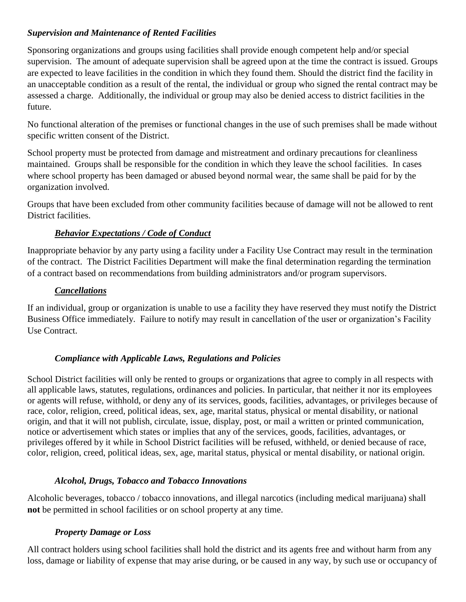## *Supervision and Maintenance of Rented Facilities*

Sponsoring organizations and groups using facilities shall provide enough competent help and/or special supervision. The amount of adequate supervision shall be agreed upon at the time the contract is issued. Groups are expected to leave facilities in the condition in which they found them. Should the district find the facility in an unacceptable condition as a result of the rental, the individual or group who signed the rental contract may be assessed a charge. Additionally, the individual or group may also be denied access to district facilities in the future.

No functional alteration of the premises or functional changes in the use of such premises shall be made without specific written consent of the District.

School property must be protected from damage and mistreatment and ordinary precautions for cleanliness maintained. Groups shall be responsible for the condition in which they leave the school facilities. In cases where school property has been damaged or abused beyond normal wear, the same shall be paid for by the organization involved.

Groups that have been excluded from other community facilities because of damage will not be allowed to rent District facilities.

## *Behavior Expectations / Code of Conduct*

Inappropriate behavior by any party using a facility under a Facility Use Contract may result in the termination of the contract. The District Facilities Department will make the final determination regarding the termination of a contract based on recommendations from building administrators and/or program supervisors.

## *Cancellations*

If an individual, group or organization is unable to use a facility they have reserved they must notify the District Business Office immediately. Failure to notify may result in cancellation of the user or organization's Facility Use Contract.

## *Compliance with Applicable Laws, Regulations and Policies*

School District facilities will only be rented to groups or organizations that agree to comply in all respects with all applicable laws, statutes, regulations, ordinances and policies. In particular, that neither it nor its employees or agents will refuse, withhold, or deny any of its services, goods, facilities, advantages, or privileges because of race, color, religion, creed, political ideas, sex, age, marital status, physical or mental disability, or national origin, and that it will not publish, circulate, issue, display, post, or mail a written or printed communication, notice or advertisement which states or implies that any of the services, goods, facilities, advantages, or privileges offered by it while in School District facilities will be refused, withheld, or denied because of race, color, religion, creed, political ideas, sex, age, marital status, physical or mental disability, or national origin.

#### *Alcohol, Drugs, Tobacco and Tobacco Innovations*

Alcoholic beverages, tobacco / tobacco innovations, and illegal narcotics (including medical marijuana) shall **not** be permitted in school facilities or on school property at any time.

#### *Property Damage or Loss*

All contract holders using school facilities shall hold the district and its agents free and without harm from any loss, damage or liability of expense that may arise during, or be caused in any way, by such use or occupancy of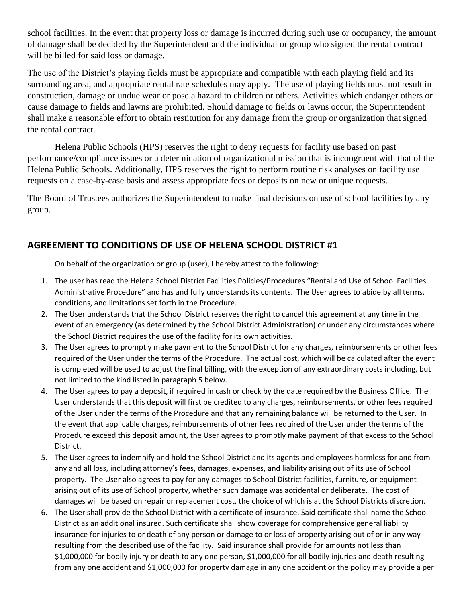school facilities. In the event that property loss or damage is incurred during such use or occupancy, the amount of damage shall be decided by the Superintendent and the individual or group who signed the rental contract will be billed for said loss or damage.

The use of the District's playing fields must be appropriate and compatible with each playing field and its surrounding area, and appropriate rental rate schedules may apply. The use of playing fields must not result in construction, damage or undue wear or pose a hazard to children or others. Activities which endanger others or cause damage to fields and lawns are prohibited. Should damage to fields or lawns occur, the Superintendent shall make a reasonable effort to obtain restitution for any damage from the group or organization that signed the rental contract.

Helena Public Schools (HPS) reserves the right to deny requests for facility use based on past performance/compliance issues or a determination of organizational mission that is incongruent with that of the Helena Public Schools. Additionally, HPS reserves the right to perform routine risk analyses on facility use requests on a case-by-case basis and assess appropriate fees or deposits on new or unique requests.

The Board of Trustees authorizes the Superintendent to make final decisions on use of school facilities by any group.

# **AGREEMENT TO CONDITIONS OF USE OF HELENA SCHOOL DISTRICT #1**

On behalf of the organization or group (user), I hereby attest to the following:

- 1. The user has read the Helena School District Facilities Policies/Procedures "Rental and Use of School Facilities Administrative Procedure" and has and fully understands its contents. The User agrees to abide by all terms, conditions, and limitations set forth in the Procedure.
- 2. The User understands that the School District reserves the right to cancel this agreement at any time in the event of an emergency (as determined by the School District Administration) or under any circumstances where the School District requires the use of the facility for its own activities.
- 3. The User agrees to promptly make payment to the School District for any charges, reimbursements or other fees required of the User under the terms of the Procedure. The actual cost, which will be calculated after the event is completed will be used to adjust the final billing, with the exception of any extraordinary costs including, but not limited to the kind listed in paragraph 5 below.
- 4. The User agrees to pay a deposit, if required in cash or check by the date required by the Business Office. The User understands that this deposit will first be credited to any charges, reimbursements, or other fees required of the User under the terms of the Procedure and that any remaining balance will be returned to the User. In the event that applicable charges, reimbursements of other fees required of the User under the terms of the Procedure exceed this deposit amount, the User agrees to promptly make payment of that excess to the School District.
- 5. The User agrees to indemnify and hold the School District and its agents and employees harmless for and from any and all loss, including attorney's fees, damages, expenses, and liability arising out of its use of School property. The User also agrees to pay for any damages to School District facilities, furniture, or equipment arising out of its use of School property, whether such damage was accidental or deliberate. The cost of damages will be based on repair or replacement cost, the choice of which is at the School Districts discretion.
- 6. The User shall provide the School District with a certificate of insurance. Said certificate shall name the School District as an additional insured. Such certificate shall show coverage for comprehensive general liability insurance for injuries to or death of any person or damage to or loss of property arising out of or in any way resulting from the described use of the facility. Said insurance shall provide for amounts not less than \$1,000,000 for bodily injury or death to any one person, \$1,000,000 for all bodily injuries and death resulting from any one accident and \$1,000,000 for property damage in any one accident or the policy may provide a per